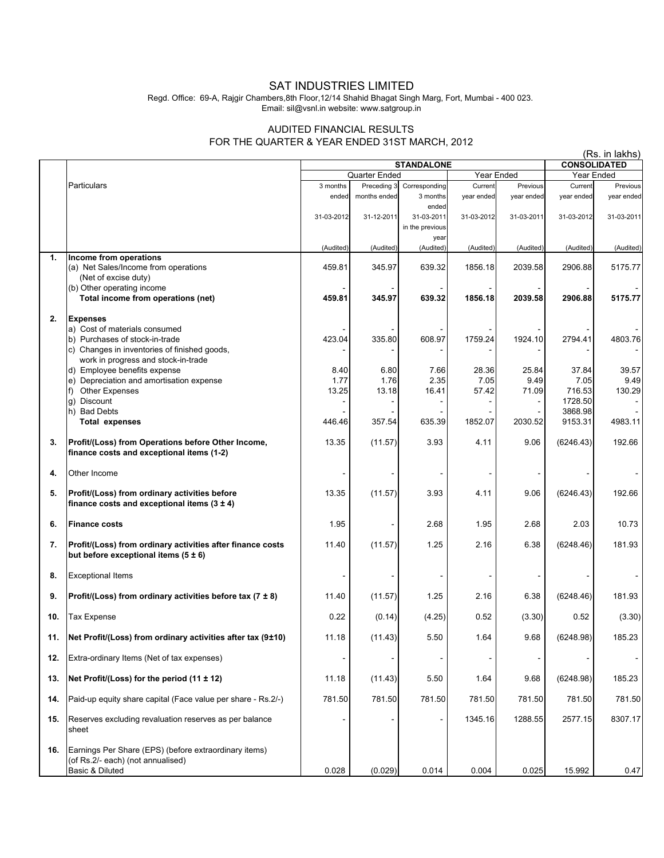## SAT INDUSTRIES LIMITED

Regd. Office: 69-A, Rajgir Chambers,8th Floor,12/14 Shahid Bhagat Singh Marg, Fort, Mumbai - 400 023. Email: sil@vsnl.in website: www.satgroup.in

## AUDITED FINANCIAL RESULTS FOR THE QUARTER & YEAR ENDED 31ST MARCH, 2012

|     |                                                                                                                       | (Rs. in lakhs)                  |                             |                                        |                                   |                        |                       |                        |
|-----|-----------------------------------------------------------------------------------------------------------------------|---------------------------------|-----------------------------|----------------------------------------|-----------------------------------|------------------------|-----------------------|------------------------|
|     |                                                                                                                       | <b>STANDALONE</b><br>Year Ended |                             |                                        | <b>CONSOLIDATED</b><br>Year Ended |                        |                       |                        |
|     |                                                                                                                       |                                 | <b>Quarter Ended</b>        |                                        |                                   |                        |                       |                        |
|     | Particulars                                                                                                           | 3 months<br>ended               | Preceding 3<br>months ended | Corresponding<br>3 months              | Current<br>year ended             | Previous<br>year ended | Current<br>year ended | Previous<br>year ended |
|     |                                                                                                                       | 31-03-2012                      | 31-12-2011                  | ended<br>31-03-2011<br>in the previous | 31-03-2012                        | 31-03-2011             | 31-03-2012            | 31-03-2011             |
|     |                                                                                                                       | (Audited)                       | (Audited)                   | year<br>(Audited)                      | (Audited)                         | (Audited)              | (Audited)             | (Audited)              |
| 1.  | Income from operations<br>(a) Net Sales/Income from operations<br>(Net of excise duty)                                | 459.81                          | 345.97                      | 639.32                                 | 1856.18                           | 2039.58                | 2906.88               | 5175.77                |
|     | (b) Other operating income<br>Total income from operations (net)                                                      | 459.81                          | 345.97                      | 639.32                                 | 1856.18                           | 2039.58                | 2906.88               | 5175.77                |
|     |                                                                                                                       |                                 |                             |                                        |                                   |                        |                       |                        |
| 2.  | <b>Expenses</b><br>a) Cost of materials consumed                                                                      |                                 |                             |                                        |                                   |                        |                       |                        |
|     | b) Purchases of stock-in-trade<br>c) Changes in inventories of finished goods,<br>work in progress and stock-in-trade | 423.04                          | 335.80                      | 608.97                                 | 1759.24                           | 1924.10                | 2794.41               | 4803.76                |
|     | d) Employee benefits expense                                                                                          | 8.40                            | 6.80                        | 7.66                                   | 28.36                             | 25.84                  | 37.84                 | 39.57                  |
|     | e) Depreciation and amortisation expense                                                                              | 1.77                            | 1.76                        | 2.35                                   | 7.05                              | 9.49                   | 7.05                  | 9.49                   |
|     | <b>Other Expenses</b><br>f)                                                                                           | 13.25                           | 13.18                       | 16.41                                  | 57.42                             | 71.09                  | 716.53                | 130.29                 |
|     | g) Discount                                                                                                           |                                 |                             |                                        |                                   |                        | 1728.50               |                        |
|     | h) Bad Debts                                                                                                          |                                 |                             |                                        |                                   |                        | 3868.98               |                        |
|     | Total expenses                                                                                                        | 446.46                          | 357.54                      | 635.39                                 | 1852.07                           | 2030.52                | 9153.31               | 4983.11                |
| 3.  | Profit/(Loss) from Operations before Other Income,<br>finance costs and exceptional items (1-2)                       | 13.35                           | (11.57)                     | 3.93                                   | 4.11                              | 9.06                   | (6246.43)             | 192.66                 |
| 4.  | Other Income                                                                                                          |                                 |                             |                                        |                                   |                        |                       |                        |
| 5.  | Profit/(Loss) from ordinary activities before<br>finance costs and exceptional items $(3 \pm 4)$                      | 13.35                           | (11.57)                     | 3.93                                   | 4.11                              | 9.06                   | (6246.43)             | 192.66                 |
| 6.  | <b>Finance costs</b>                                                                                                  | 1.95                            |                             | 2.68                                   | 1.95                              | 2.68                   | 2.03                  | 10.73                  |
| 7.  | Profit/(Loss) from ordinary activities after finance costs<br>but before exceptional items $(5 \pm 6)$                | 11.40                           | (11.57)                     | 1.25                                   | 2.16                              | 6.38                   | (6248.46)             | 181.93                 |
| 8.  | <b>Exceptional Items</b>                                                                                              |                                 |                             |                                        |                                   |                        |                       |                        |
| 9.  | Profit/(Loss) from ordinary activities before tax $(7 \pm 8)$                                                         | 11.40                           | (11.57)                     | 1.25                                   | 2.16                              | 6.38                   | (6248.46)             | 181.93                 |
| 10. | <b>Tax Expense</b>                                                                                                    | 0.22                            | (0.14)                      | (4.25)                                 | 0.52                              | (3.30)                 | 0.52                  | (3.30)                 |
| 11. | Net Profit/(Loss) from ordinary activities after tax (9±10)                                                           | 11.18                           | (11.43)                     | 5.50                                   | 1.64                              | 9.68                   | (6248.98)             | 185.23                 |
| 12. | Extra-ordinary Items (Net of tax expenses)                                                                            |                                 |                             |                                        |                                   |                        |                       |                        |
| 13. | Net Profit/(Loss) for the period $(11 \pm 12)$                                                                        | 11.18                           | (11.43)                     | 5.50                                   | 1.64                              | 9.68                   | (6248.98)             | 185.23                 |
| 14. | Paid-up equity share capital (Face value per share - Rs.2/-)                                                          | 781.50                          | 781.50                      | 781.50                                 | 781.50                            | 781.50                 | 781.50                | 781.50                 |
| 15. | Reserves excluding revaluation reserves as per balance<br>sheet                                                       |                                 |                             |                                        | 1345.16                           | 1288.55                | 2577.15               | 8307.17                |
| 16. | Earnings Per Share (EPS) (before extraordinary items)<br>(of Rs.2/- each) (not annualised)<br>Basic & Diluted         | 0.028                           | (0.029)                     | 0.014                                  | 0.004                             | 0.025                  | 15.992                | 0.47                   |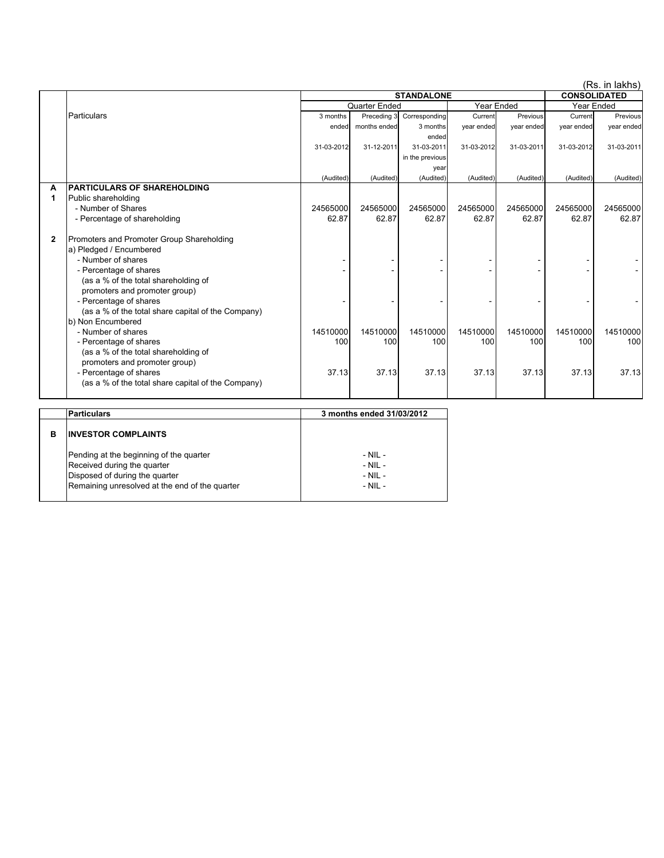|   |                                                    |                             |                   |                 |                   |            |                     | (Rs. in lakhs) |
|---|----------------------------------------------------|-----------------------------|-------------------|-----------------|-------------------|------------|---------------------|----------------|
|   |                                                    |                             | <b>STANDALONE</b> |                 |                   |            | <b>CONSOLIDATED</b> |                |
|   |                                                    | Quarter Ended<br>Year Ended |                   |                 | <b>Year Ended</b> |            |                     |                |
|   | Particulars                                        | 3 months                    | Preceding 3       | Corresponding   | Current           | Previous   | Current             | Previous       |
|   |                                                    | ended                       | months ended      | 3 months        | year ended        | year ended | year ended          | year ended     |
|   |                                                    |                             |                   | ended           |                   |            |                     |                |
|   |                                                    | 31-03-2012                  | 31-12-2011        | 31-03-2011      | 31-03-2012        | 31-03-2011 | 31-03-2012          | 31-03-2011     |
|   |                                                    |                             |                   | in the previous |                   |            |                     |                |
|   |                                                    |                             |                   | year            |                   |            |                     |                |
|   |                                                    | (Audited)                   | (Audited)         | (Audited)       | (Audited)         | (Audited)  | (Audited)           | (Audited)      |
| A | <b>PARTICULARS OF SHAREHOLDING</b>                 |                             |                   |                 |                   |            |                     |                |
| 1 | Public shareholding                                |                             |                   |                 |                   |            |                     |                |
|   | - Number of Shares                                 | 24565000                    | 24565000          | 24565000        | 24565000          | 24565000   | 24565000            | 24565000       |
|   | - Percentage of shareholding                       | 62.87                       | 62.87             | 62.87           | 62.87             | 62.87      | 62.87               | 62.87          |
|   |                                                    |                             |                   |                 |                   |            |                     |                |
| 2 | Promoters and Promoter Group Shareholding          |                             |                   |                 |                   |            |                     |                |
|   | a) Pledged / Encumbered                            |                             |                   |                 |                   |            |                     |                |
|   | - Number of shares                                 |                             |                   |                 |                   |            |                     |                |
|   | - Percentage of shares                             |                             |                   |                 |                   |            |                     |                |
|   | (as a % of the total shareholding of               |                             |                   |                 |                   |            |                     |                |
|   | promoters and promoter group)                      |                             |                   |                 |                   |            |                     |                |
|   | - Percentage of shares                             |                             |                   |                 |                   |            |                     |                |
|   | (as a % of the total share capital of the Company) |                             |                   |                 |                   |            |                     |                |
|   | b) Non Encumbered                                  |                             |                   |                 |                   |            |                     |                |
|   | - Number of shares                                 | 14510000                    | 14510000          | 14510000        | 14510000          | 14510000   | 14510000            | 14510000       |
|   | - Percentage of shares                             | 100                         | 100               | 100             | 100               | 100        | 100                 | 100            |
|   | (as a % of the total shareholding of               |                             |                   |                 |                   |            |                     |                |
|   | promoters and promoter group)                      |                             |                   |                 |                   |            |                     |                |
|   | - Percentage of shares                             | 37.13                       | 37.13             | 37.13           | 37.13             | 37.13      | 37.13               | 37.13          |
|   | (as a % of the total share capital of the Company) |                             |                   |                 |                   |            |                     |                |
|   |                                                    |                             |                   |                 |                   |            |                     |                |

|   | Particulars                                                                                                                                                | 3 months ended 31/03/2012                                |  |  |  |
|---|------------------------------------------------------------------------------------------------------------------------------------------------------------|----------------------------------------------------------|--|--|--|
| в | <b>INVESTOR COMPLAINTS</b>                                                                                                                                 |                                                          |  |  |  |
|   | Pending at the beginning of the quarter<br>Received during the quarter<br>Disposed of during the quarter<br>Remaining unresolved at the end of the quarter | $-$ NII $-$<br>$-$ NII $-$<br>$-$ NIL $-$<br>$-$ NIL $-$ |  |  |  |